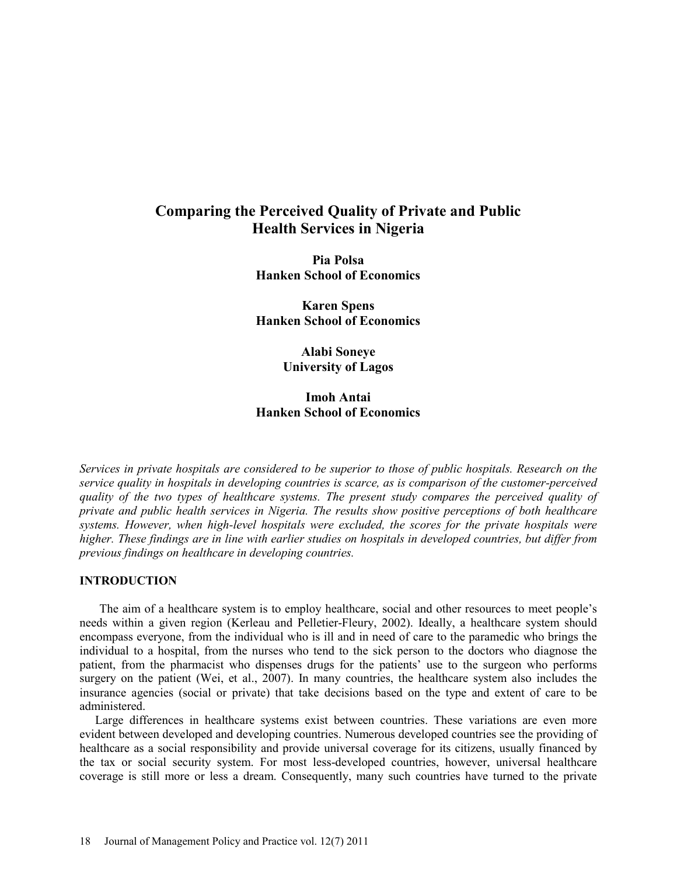# **Comparing the Perceived Quality of Private and Public Health Services in Nigeria**

**Pia Polsa Hanken School of Economics** 

**Karen Spens Hanken School of Economics**

> **Alabi Soneye University of Lagos**

# **Imoh Antai Hanken School of Economics**

*Services in private hospitals are considered to be superior to those of public hospitals. Research on the service quality in hospitals in developing countries is scarce, as is comparison of the customer-perceived quality of the two types of healthcare systems. The present study compares the perceived quality of private and public health services in Nigeria. The results show positive perceptions of both healthcare systems. However, when high-level hospitals were excluded, the scores for the private hospitals were higher. These findings are in line with earlier studies on hospitals in developed countries, but differ from previous findings on healthcare in developing countries.* 

#### **INTRODUCTION**

The aim of a healthcare system is to employ healthcare, social and other resources to meet people's needs within a given region (Kerleau and Pelletier-Fleury, 2002). Ideally, a healthcare system should encompass everyone, from the individual who is ill and in need of care to the paramedic who brings the individual to a hospital, from the nurses who tend to the sick person to the doctors who diagnose the patient, from the pharmacist who dispenses drugs for the patients' use to the surgeon who performs surgery on the patient (Wei, et al., 2007). In many countries, the healthcare system also includes the insurance agencies (social or private) that take decisions based on the type and extent of care to be administered.

Large differences in healthcare systems exist between countries. These variations are even more evident between developed and developing countries. Numerous developed countries see the providing of healthcare as a social responsibility and provide universal coverage for its citizens, usually financed by the tax or social security system. For most less-developed countries, however, universal healthcare coverage is still more or less a dream. Consequently, many such countries have turned to the private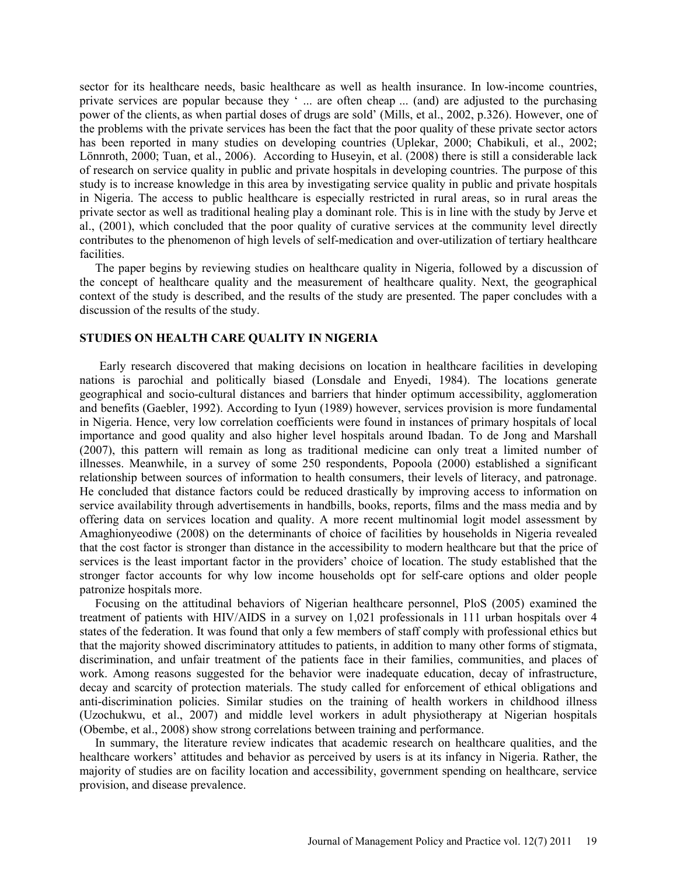sector for its healthcare needs, basic healthcare as well as health insurance. In low-income countries, private services are popular because they ' ... are often cheap ... (and) are adjusted to the purchasing power of the clients, as when partial doses of drugs are sold' (Mills, et al., 2002, p.326). However, one of the problems with the private services has been the fact that the poor quality of these private sector actors has been reported in many studies on developing countries (Uplekar, 2000; Chabikuli, et al., 2002; Lönnroth, 2000; Tuan, et al., 2006). According to Huseyin, et al. (2008) there is still a considerable lack of research on service quality in public and private hospitals in developing countries. The purpose of this study is to increase knowledge in this area by investigating service quality in public and private hospitals in Nigeria. The access to public healthcare is especially restricted in rural areas, so in rural areas the private sector as well as traditional healing play a dominant role. This is in line with the study by Jerve et al., (2001), which concluded that the poor quality of curative services at the community level directly contributes to the phenomenon of high levels of self-medication and over-utilization of tertiary healthcare facilities.

The paper begins by reviewing studies on healthcare quality in Nigeria, followed by a discussion of the concept of healthcare quality and the measurement of healthcare quality. Next, the geographical context of the study is described, and the results of the study are presented. The paper concludes with a discussion of the results of the study.

#### **STUDIES ON HEALTH CARE QUALITY IN NIGERIA**

Early research discovered that making decisions on location in healthcare facilities in developing nations is parochial and politically biased (Lonsdale and Enyedi, 1984). The locations generate geographical and socio-cultural distances and barriers that hinder optimum accessibility, agglomeration and benefits (Gaebler, 1992). According to Iyun (1989) however, services provision is more fundamental in Nigeria. Hence, very low correlation coefficients were found in instances of primary hospitals of local importance and good quality and also higher level hospitals around Ibadan. To de Jong and Marshall (2007), this pattern will remain as long as traditional medicine can only treat a limited number of illnesses. Meanwhile, in a survey of some 250 respondents, Popoola (2000) established a significant relationship between sources of information to health consumers, their levels of literacy, and patronage. He concluded that distance factors could be reduced drastically by improving access to information on service availability through advertisements in handbills, books, reports, films and the mass media and by offering data on services location and quality. A more recent multinomial logit model assessment by Amaghionyeodiwe (2008) on the determinants of choice of facilities by households in Nigeria revealed that the cost factor is stronger than distance in the accessibility to modern healthcare but that the price of services is the least important factor in the providers' choice of location. The study established that the stronger factor accounts for why low income households opt for self-care options and older people patronize hospitals more.

Focusing on the attitudinal behaviors of Nigerian healthcare personnel, PloS (2005) examined the treatment of patients with HIV/AIDS in a survey on 1,021 professionals in 111 urban hospitals over 4 states of the federation. It was found that only a few members of staff comply with professional ethics but that the majority showed discriminatory attitudes to patients, in addition to many other forms of stigmata, discrimination, and unfair treatment of the patients face in their families, communities, and places of work. Among reasons suggested for the behavior were inadequate education, decay of infrastructure, decay and scarcity of protection materials. The study called for enforcement of ethical obligations and anti-discrimination policies. Similar studies on the training of health workers in childhood illness (Uzochukwu, et al., 2007) and middle level workers in adult physiotherapy at Nigerian hospitals (Obembe, et al., 2008) show strong correlations between training and performance.

In summary, the literature review indicates that academic research on healthcare qualities, and the healthcare workers' attitudes and behavior as perceived by users is at its infancy in Nigeria. Rather, the majority of studies are on facility location and accessibility, government spending on healthcare, service provision, and disease prevalence.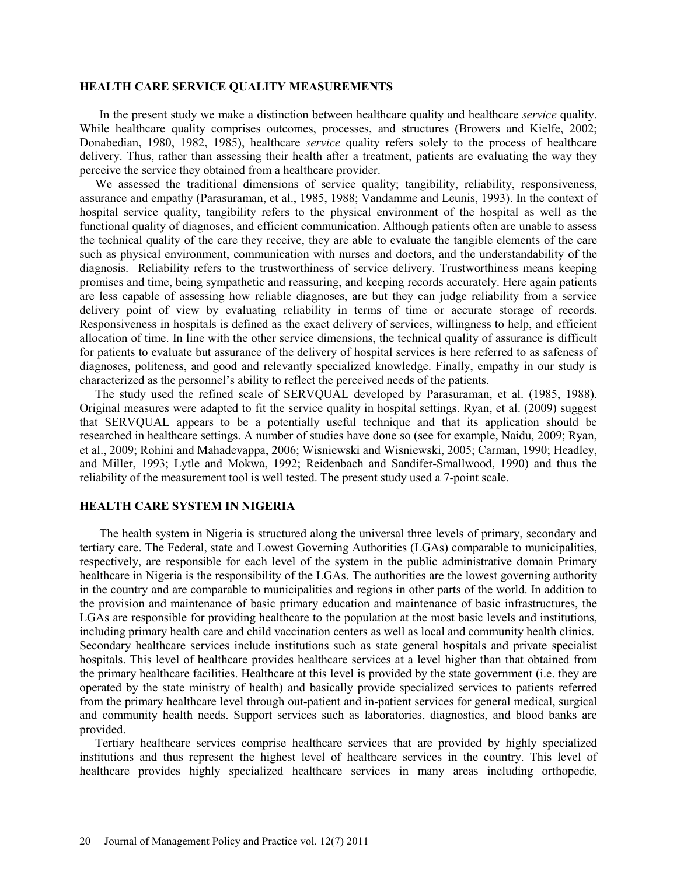#### **HEALTH CARE SERVICE QUALITY MEASUREMENTS**

In the present study we make a distinction between healthcare quality and healthcare *service* quality. While healthcare quality comprises outcomes, processes, and structures (Browers and Kielfe, 2002; Donabedian, 1980, 1982, 1985), healthcare *service* quality refers solely to the process of healthcare delivery. Thus, rather than assessing their health after a treatment, patients are evaluating the way they perceive the service they obtained from a healthcare provider.

We assessed the traditional dimensions of service quality; tangibility, reliability, responsiveness, assurance and empathy (Parasuraman, et al., 1985, 1988; Vandamme and Leunis, 1993). In the context of hospital service quality, tangibility refers to the physical environment of the hospital as well as the functional quality of diagnoses, and efficient communication. Although patients often are unable to assess the technical quality of the care they receive, they are able to evaluate the tangible elements of the care such as physical environment, communication with nurses and doctors, and the understandability of the diagnosis. Reliability refers to the trustworthiness of service delivery. Trustworthiness means keeping promises and time, being sympathetic and reassuring, and keeping records accurately. Here again patients are less capable of assessing how reliable diagnoses, are but they can judge reliability from a service delivery point of view by evaluating reliability in terms of time or accurate storage of records. Responsiveness in hospitals is defined as the exact delivery of services, willingness to help, and efficient allocation of time. In line with the other service dimensions, the technical quality of assurance is difficult for patients to evaluate but assurance of the delivery of hospital services is here referred to as safeness of diagnoses, politeness, and good and relevantly specialized knowledge. Finally, empathy in our study is characterized as the personnel's ability to reflect the perceived needs of the patients.

The study used the refined scale of SERVQUAL developed by Parasuraman, et al. (1985, 1988). Original measures were adapted to fit the service quality in hospital settings. Ryan, et al. (2009) suggest that SERVQUAL appears to be a potentially useful technique and that its application should be researched in healthcare settings. A number of studies have done so (see for example, Naidu, 2009; Ryan, et al., 2009; Rohini and Mahadevappa, 2006; Wisniewski and Wisniewski, 2005; Carman, 1990; Headley, and Miller, 1993; Lytle and Mokwa, 1992; Reidenbach and Sandifer-Smallwood, 1990) and thus the reliability of the measurement tool is well tested. The present study used a 7-point scale.

## **HEALTH CARE SYSTEM IN NIGERIA**

The health system in Nigeria is structured along the universal three levels of primary, secondary and tertiary care. The Federal, state and Lowest Governing Authorities (LGAs) comparable to municipalities, respectively, are responsible for each level of the system in the public administrative domain Primary healthcare in Nigeria is the responsibility of the LGAs. The authorities are the lowest governing authority in the country and are comparable to municipalities and regions in other parts of the world. In addition to the provision and maintenance of basic primary education and maintenance of basic infrastructures, the LGAs are responsible for providing healthcare to the population at the most basic levels and institutions, including primary health care and child vaccination centers as well as local and community health clinics. Secondary healthcare services include institutions such as state general hospitals and private specialist hospitals. This level of healthcare provides healthcare services at a level higher than that obtained from the primary healthcare facilities. Healthcare at this level is provided by the state government (i.e. they are operated by the state ministry of health) and basically provide specialized services to patients referred from the primary healthcare level through out-patient and in-patient services for general medical, surgical and community health needs. Support services such as laboratories, diagnostics, and blood banks are provided.

Tertiary healthcare services comprise healthcare services that are provided by highly specialized institutions and thus represent the highest level of healthcare services in the country. This level of healthcare provides highly specialized healthcare services in many areas including orthopedic,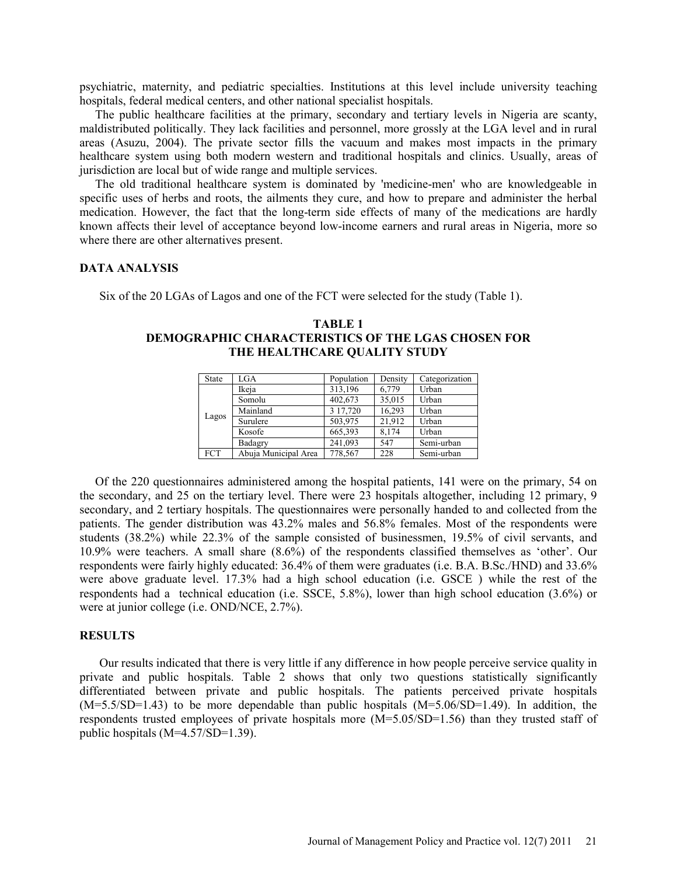psychiatric, maternity, and pediatric specialties. Institutions at this level include university teaching hospitals, federal medical centers, and other national specialist hospitals.

The public healthcare facilities at the primary, secondary and tertiary levels in Nigeria are scanty, maldistributed politically. They lack facilities and personnel, more grossly at the LGA level and in rural areas (Asuzu, 2004). The private sector fills the vacuum and makes most impacts in the primary healthcare system using both modern western and traditional hospitals and clinics. Usually, areas of jurisdiction are local but of wide range and multiple services.

The old traditional healthcare system is dominated by 'medicine-men' who are knowledgeable in specific uses of herbs and roots, the ailments they cure, and how to prepare and administer the herbal medication. However, the fact that the long-term side effects of many of the medications are hardly known affects their level of acceptance beyond low-income earners and rural areas in Nigeria, more so where there are other alternatives present.

#### **DATA ANALYSIS**

Six of the 20 LGAs of Lagos and one of the FCT were selected for the study (Table 1).

| <b>State</b> | LGA                  | Population | Density | Categorization |
|--------------|----------------------|------------|---------|----------------|
|              | Ikeja                | 313,196    | 6,779   | Urban          |
|              | Somolu               | 402,673    | 35,015  | Urban          |
|              | Mainland             | 3 17,720   | 16,293  | Urban          |
| Lagos        | Surulere             | 503,975    | 21,912  | Urban          |
|              | Kosofe               | 665,393    | 8,174   | Urban          |
|              | Badagry              | 241,093    | 547     | Semi-urban     |
| <b>FCT</b>   | Abuja Municipal Area | 778,567    | 228     | Semi-urban     |

## **TABLE 1 DEMOGRAPHIC CHARACTERISTICS OF THE LGAS CHOSEN FOR THE HEALTHCARE QUALITY STUDY**

Of the 220 questionnaires administered among the hospital patients, 141 were on the primary, 54 on the secondary, and 25 on the tertiary level. There were 23 hospitals altogether, including 12 primary, 9 secondary, and 2 tertiary hospitals. The questionnaires were personally handed to and collected from the patients. The gender distribution was 43.2% males and 56.8% females. Most of the respondents were students (38.2%) while 22.3% of the sample consisted of businessmen, 19.5% of civil servants, and 10.9% were teachers. A small share (8.6%) of the respondents classified themselves as 'other'. Our respondents were fairly highly educated: 36.4% of them were graduates (i.e. B.A. B.Sc./HND) and 33.6% were above graduate level. 17.3% had a high school education (i.e. GSCE ) while the rest of the respondents had a technical education (i.e. SSCE, 5.8%), lower than high school education (3.6%) or were at junior college (i.e. OND/NCE, 2.7%).

#### **RESULTS**

Our results indicated that there is very little if any difference in how people perceive service quality in private and public hospitals. Table 2 shows that only two questions statistically significantly differentiated between private and public hospitals. The patients perceived private hospitals (M=5.5/SD=1.43) to be more dependable than public hospitals (M=5.06/SD=1.49). In addition, the respondents trusted employees of private hospitals more (M=5.05/SD=1.56) than they trusted staff of public hospitals (M=4.57/SD=1.39).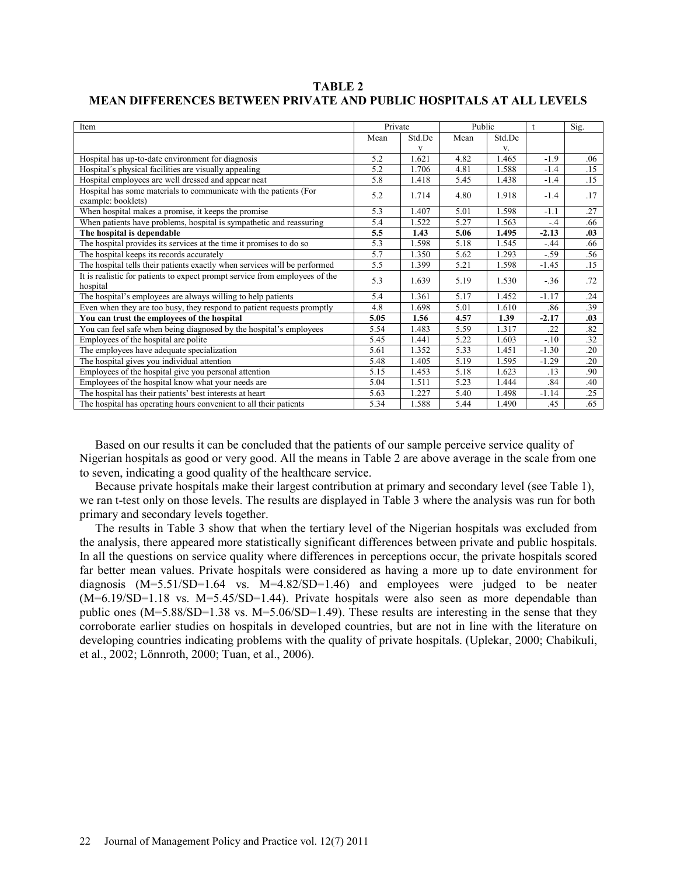**TABLE 2 MEAN DIFFERENCES BETWEEN PRIVATE AND PUBLIC HOSPITALS AT ALL LEVELS**

| Item                                                                                    | Private |        | Public |        | $^{\dagger}$ | Sig. |
|-----------------------------------------------------------------------------------------|---------|--------|--------|--------|--------------|------|
|                                                                                         | Mean    | Std.De | Mean   | Std.De |              |      |
|                                                                                         |         | V      |        | V.     |              |      |
| Hospital has up-to-date environment for diagnosis                                       |         | 1.621  | 4.82   | 1.465  | $-1.9$       | .06  |
| Hospital's physical facilities are visually appealing                                   | 5.2     | 1.706  | 4.81   | 1.588  | $-1.4$       | .15  |
| Hospital employees are well dressed and appear neat                                     | 5.8     | 1.418  | 5.45   | 1.438  | $-1.4$       | .15  |
| Hospital has some materials to communicate with the patients (For<br>example: booklets) | 5.2     | 1.714  | 4.80   | 1.918  | $-1.4$       | .17  |
| When hospital makes a promise, it keeps the promise                                     | 5.3     | 1.407  | 5.01   | 1.598  | $-1.1$       | .27  |
| When patients have problems, hospital is sympathetic and reassuring                     | 5.4     | 1.522  | 5.27   | 1.563  | $-4$         | .66  |
| The hospital is dependable                                                              |         | 1.43   | 5.06   | 1.495  | $-2.13$      | .03  |
| The hospital provides its services at the time it promises to do so                     | 5.3     | 1.598  | 5.18   | 1.545  | $-.44$       | .66  |
| The hospital keeps its records accurately                                               | 5.7     | 1.350  | 5.62   | 1.293  | $-59$        | .56  |
| The hospital tells their patients exactly when services will be performed               | 5.5     | 1.399  | 5.21   | 1.598  | $-1.45$      | .15  |
| It is realistic for patients to expect prompt service from employees of the<br>hospital | 5.3     | 1.639  | 5.19   | 1.530  | $-.36$       | .72  |
| The hospital's employees are always willing to help patients                            | 5.4     | 1.361  | 5.17   | 1.452  | $-1.17$      | .24  |
| Even when they are too busy, they respond to patient requests promptly                  | 4.8     | 1.698  | 5.01   | 1.610  | .86          | .39  |
| You can trust the employees of the hospital                                             |         | 1.56   | 4.57   | 1.39   | $-2.17$      | .03  |
| You can feel safe when being diagnosed by the hospital's employees                      | 5.54    | 1.483  | 5.59   | 1.317  | .22          | .82  |
| Employees of the hospital are polite                                                    | 5.45    | 1.441  | 5.22   | 1.603  | $-10$        | .32  |
| The employees have adequate specialization                                              | 5.61    | 1.352  | 5.33   | 1.451  | $-1.30$      | .20  |
| The hospital gives you individual attention                                             |         | 1.405  | 5.19   | 1.595  | $-1.29$      | .20  |
| Employees of the hospital give you personal attention                                   |         | 1.453  | 5.18   | 1.623  | .13          | .90  |
| Employees of the hospital know what your needs are                                      |         | 1.511  | 5.23   | 1.444  | .84          | .40  |
| The hospital has their patients' best interests at heart                                |         | 1.227  | 5.40   | 1.498  | $-1.14$      | .25  |
| The hospital has operating hours convenient to all their patients                       |         | 1.588  | 5.44   | 1.490  | .45          | .65  |

Based on our results it can be concluded that the patients of our sample perceive service quality of Nigerian hospitals as good or very good. All the means in Table 2 are above average in the scale from one to seven, indicating a good quality of the healthcare service.

Because private hospitals make their largest contribution at primary and secondary level (see Table 1), we ran t-test only on those levels. The results are displayed in Table 3 where the analysis was run for both primary and secondary levels together.

The results in Table 3 show that when the tertiary level of the Nigerian hospitals was excluded from the analysis, there appeared more statistically significant differences between private and public hospitals. In all the questions on service quality where differences in perceptions occur, the private hospitals scored far better mean values. Private hospitals were considered as having a more up to date environment for diagnosis (M=5.51/SD=1.64 vs. M=4.82/SD=1.46) and employees were judged to be neater  $(M=6.19/SD=1.18$  vs.  $M=5.45/SD=1.44$ ). Private hospitals were also seen as more dependable than public ones (M=5.88/SD=1.38 vs. M=5.06/SD=1.49). These results are interesting in the sense that they corroborate earlier studies on hospitals in developed countries, but are not in line with the literature on developing countries indicating problems with the quality of private hospitals. (Uplekar, 2000; Chabikuli, et al., 2002; Lönnroth, 2000; Tuan, et al., 2006).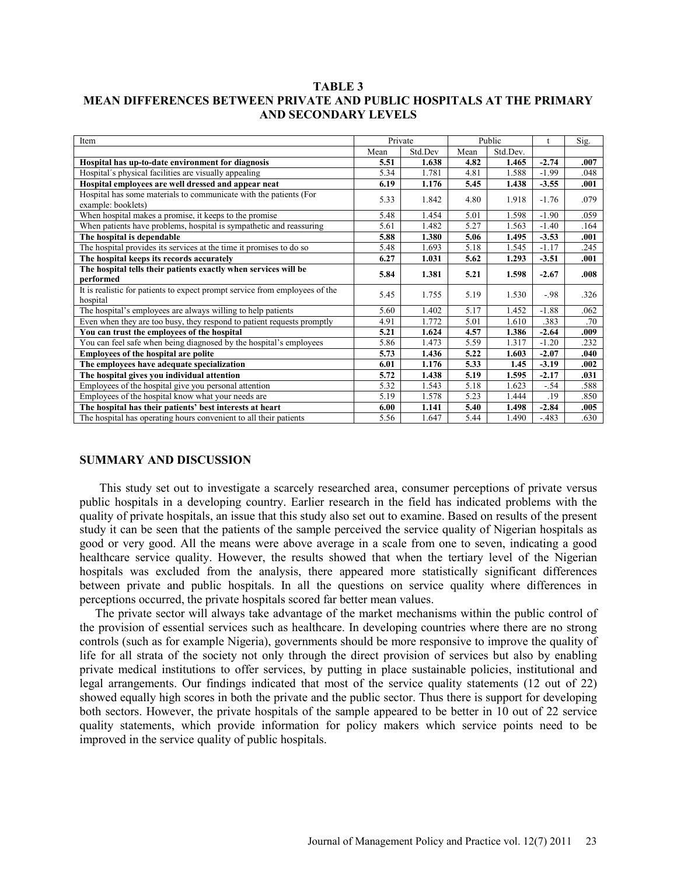# **TABLE 3 MEAN DIFFERENCES BETWEEN PRIVATE AND PUBLIC HOSPITALS AT THE PRIMARY AND SECONDARY LEVELS**

| Item                                                                                    | Private |         | Public |          |         | Sig. |
|-----------------------------------------------------------------------------------------|---------|---------|--------|----------|---------|------|
|                                                                                         | Mean    | Std.Dev | Mean   | Std.Dev. |         |      |
| Hospital has up-to-date environment for diagnosis                                       |         | 1.638   | 4.82   | 1.465    | $-2.74$ | .007 |
| Hospital's physical facilities are visually appealing                                   | 5.34    | 1.781   | 4.81   | 1.588    | $-1.99$ | .048 |
| Hospital employees are well dressed and appear neat                                     |         | 1.176   | 5.45   | 1.438    | $-3.55$ | .001 |
| Hospital has some materials to communicate with the patients (For<br>example: booklets) | 5.33    | 1.842   | 4.80   | 1.918    | $-1.76$ | .079 |
| When hospital makes a promise, it keeps to the promise                                  | 5.48    | 1.454   | 5.01   | 1.598    | $-1.90$ | .059 |
| When patients have problems, hospital is sympathetic and reassuring                     | 5.61    | 1.482   | 5.27   | 1.563    | $-1.40$ | .164 |
| The hospital is dependable                                                              | 5.88    | 1.380   | 5.06   | 1.495    | $-3.53$ | .001 |
| The hospital provides its services at the time it promises to do so                     | 5.48    | 1.693   | 5.18   | 1.545    | $-1.17$ | .245 |
| The hospital keeps its records accurately                                               |         | 1.031   | 5.62   | 1.293    | $-3.51$ | .001 |
| The hospital tells their patients exactly when services will be<br>performed            | 5.84    | 1.381   | 5.21   | 1.598    | $-2.67$ | .008 |
| It is realistic for patients to expect prompt service from employees of the<br>hospital | 5.45    | 1.755   | 5.19   | 1.530    | $-98$   | .326 |
| The hospital's employees are always willing to help patients                            | 5.60    | 1.402   | 5.17   | 1.452    | $-1.88$ | .062 |
| Even when they are too busy, they respond to patient requests promptly                  | 4.91    | 1.772   | 5.01   | 1.610    | .383    | .70  |
| You can trust the employees of the hospital                                             |         | 1.624   | 4.57   | 1.386    | $-2.64$ | .009 |
| You can feel safe when being diagnosed by the hospital's employees                      | 5.86    | 1.473   | 5.59   | 1.317    | $-1.20$ | .232 |
| <b>Employees of the hospital are polite</b>                                             | 5.73    | 1.436   | 5.22   | 1.603    | $-2.07$ | .040 |
| The employees have adequate specialization                                              | 6.01    | 1.176   | 5.33   | 1.45     | $-3.19$ | .002 |
| The hospital gives you individual attention                                             |         | 1.438   | 5.19   | 1.595    | $-2.17$ | .031 |
| Employees of the hospital give you personal attention                                   | 5.32    | 1.543   | 5.18   | 1.623    | $-.54$  | .588 |
| Employees of the hospital know what your needs are                                      | 5.19    | 1.578   | 5.23   | 1.444    | .19     | .850 |
| The hospital has their patients' best interests at heart                                |         | 1.141   | 5.40   | 1.498    | $-2.84$ | .005 |
| The hospital has operating hours convenient to all their patients                       | 5.56    | 1.647   | 5.44   | 1.490    | $-.483$ | .630 |

#### **SUMMARY AND DISCUSSION**

This study set out to investigate a scarcely researched area, consumer perceptions of private versus public hospitals in a developing country. Earlier research in the field has indicated problems with the quality of private hospitals, an issue that this study also set out to examine. Based on results of the present study it can be seen that the patients of the sample perceived the service quality of Nigerian hospitals as good or very good. All the means were above average in a scale from one to seven, indicating a good healthcare service quality. However, the results showed that when the tertiary level of the Nigerian hospitals was excluded from the analysis, there appeared more statistically significant differences between private and public hospitals. In all the questions on service quality where differences in perceptions occurred, the private hospitals scored far better mean values.

The private sector will always take advantage of the market mechanisms within the public control of the provision of essential services such as healthcare. In developing countries where there are no strong controls (such as for example Nigeria), governments should be more responsive to improve the quality of life for all strata of the society not only through the direct provision of services but also by enabling private medical institutions to offer services, by putting in place sustainable policies, institutional and legal arrangements. Our findings indicated that most of the service quality statements (12 out of 22) showed equally high scores in both the private and the public sector. Thus there is support for developing both sectors. However, the private hospitals of the sample appeared to be better in 10 out of 22 service quality statements, which provide information for policy makers which service points need to be improved in the service quality of public hospitals.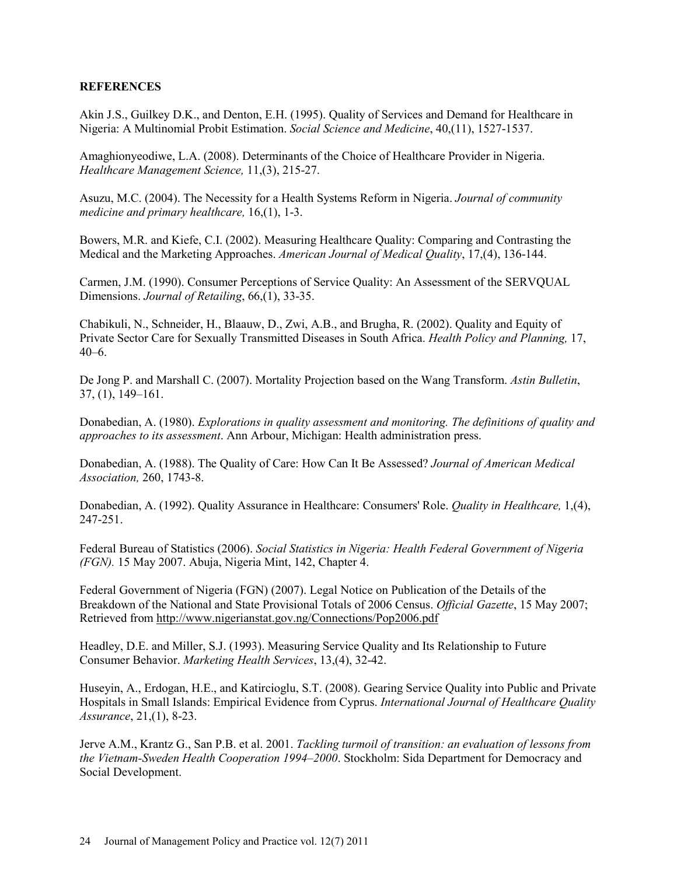# **REFERENCES**

Akin J.S., Guilkey D.K., and Denton, E.H. (1995). Quality of Services and Demand for Healthcare in Nigeria: A Multinomial Probit Estimation. *Social Science and Medicine*, 40,(11), 1527-1537.

Amaghionyeodiwe, L.A. (2008). Determinants of the Choice of Healthcare Provider in Nigeria. *Healthcare Management Science,* 11,(3), 215-27.

Asuzu, M.C. (2004). The Necessity for a Health Systems Reform in Nigeria. *Journal of community medicine and primary healthcare,* 16,(1), 1-3.

Bowers, M.R. and Kiefe, C.I. (2002). Measuring Healthcare Quality: Comparing and Contrasting the Medical and the Marketing Approaches. *American Journal of Medical Quality*, 17,(4), 136-144.

Carmen, J.M. (1990). Consumer Perceptions of Service Quality: An Assessment of the SERVQUAL Dimensions. *Journal of Retailing*, 66,(1), 33-35.

Chabikuli, N., Schneider, H., Blaauw, D., Zwi, A.B., and Brugha, R. (2002). Quality and Equity of Private Sector Care for Sexually Transmitted Diseases in South Africa. *Health Policy and Planning,* 17, 40–6.

De Jong P. and Marshall C. (2007). Mortality Projection based on the Wang Transform. *Astin Bulletin*, 37, (1), 149–161.

Donabedian, A. (1980). *Explorations in quality assessment and monitoring. The definitions of quality and approaches to its assessment*. Ann Arbour, Michigan: Health administration press.

Donabedian, A. (1988). The Quality of Care: How Can It Be Assessed? *Journal of American Medical Association,* 260, 1743-8.

Donabedian, A. (1992). Quality Assurance in Healthcare: Consumers' Role. *Quality in Healthcare,* 1,(4), 247-251.

Federal Bureau of Statistics (2006). *Social Statistics in Nigeria: Health Federal Government of Nigeria (FGN).* 15 May 2007. Abuja, Nigeria Mint, 142, Chapter 4.

Federal Government of Nigeria (FGN) (2007). Legal Notice on Publication of the Details of the Breakdown of the National and State Provisional Totals of 2006 Census. *Official Gazette*, 15 May 2007; Retrieved from http://www.nigerianstat.gov.ng/Connections/Pop2006.pdf

Headley, D.E. and Miller, S.J. (1993). Measuring Service Quality and Its Relationship to Future Consumer Behavior. *Marketing Health Services*, 13,(4), 32-42.

Huseyin, A., Erdogan, H.E., and Katircioglu, S.T. (2008). Gearing Service Quality into Public and Private Hospitals in Small Islands: Empirical Evidence from Cyprus. *International Journal of Healthcare Quality Assurance*, 21,(1), 8-23.

Jerve A.M., Krantz G., San P.B. et al. 2001. *Tackling turmoil of transition: an evaluation of lessons from the Vietnam-Sweden Health Cooperation 1994–2000*. Stockholm: Sida Department for Democracy and Social Development.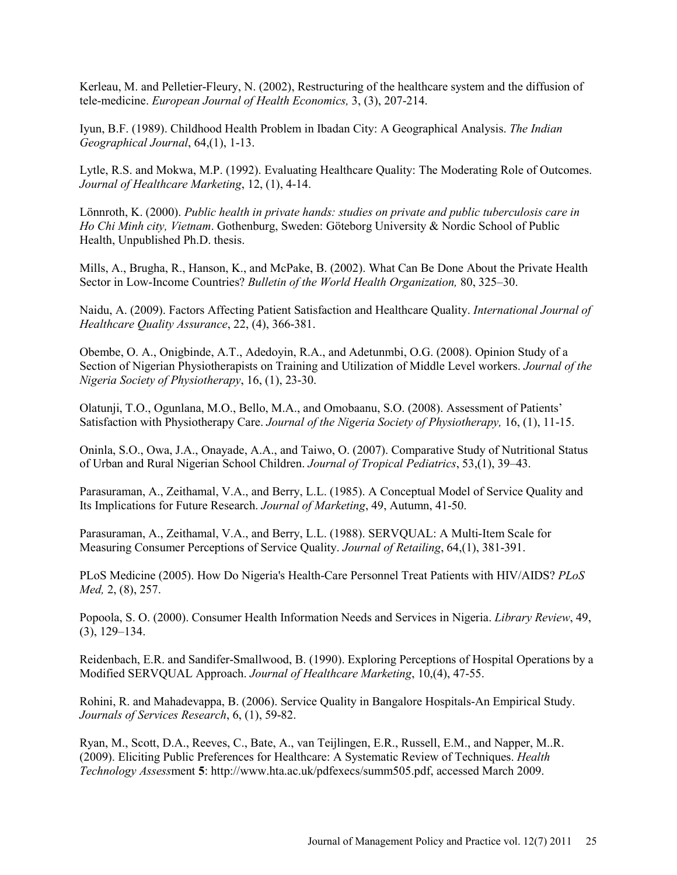Kerleau, M. and Pelletier-Fleury, N. (2002), Restructuring of the healthcare system and the diffusion of tele-medicine. *European Journal of Health Economics,* 3, (3), 207-214.

Iyun, B.F. (1989). Childhood Health Problem in Ibadan City: A Geographical Analysis. *The Indian Geographical Journal*, 64,(1), 1-13.

Lytle, R.S. and Mokwa, M.P. (1992). Evaluating Healthcare Quality: The Moderating Role of Outcomes. *Journal of Healthcare Marketing*, 12, (1), 4-14.

Lönnroth, K. (2000). *Public health in private hands: studies on private and public tuberculosis care in Ho Chi Minh city, Vietnam*. Gothenburg, Sweden: Göteborg University & Nordic School of Public Health, Unpublished Ph.D. thesis.

Mills, A., Brugha, R., Hanson, K., and McPake, B. (2002). What Can Be Done About the Private Health Sector in Low-Income Countries? *Bulletin of the World Health Organization,* 80, 325–30.

Naidu, A. (2009). Factors Affecting Patient Satisfaction and Healthcare Quality. *International Journal of Healthcare Quality Assurance*, 22, (4), 366-381.

Obembe, O. A., Onigbinde, A.T., Adedoyin, R.A., and Adetunmbi, O.G. (2008). Opinion Study of a Section of Nigerian Physiotherapists on Training and Utilization of Middle Level workers. *Journal of the Nigeria Society of Physiotherapy*, 16, (1), 23-30.

Olatunji, T.O., Ogunlana, M.O., Bello, M.A., and Omobaanu, S.O. (2008). Assessment of Patients' Satisfaction with Physiotherapy Care. *Journal of the Nigeria Society of Physiotherapy,* 16, (1), 11-15.

Oninla, S.O., Owa, J.A., Onayade, A.A., and Taiwo, O. (2007). Comparative Study of Nutritional Status of Urban and Rural Nigerian School Children. *Journal of Tropical Pediatrics*, 53,(1), 39–43.

Parasuraman, A., Zeithamal, V.A., and Berry, L.L. (1985). A Conceptual Model of Service Quality and Its Implications for Future Research. *Journal of Marketing*, 49, Autumn, 41-50.

Parasuraman, A., Zeithamal, V.A., and Berry, L.L. (1988). SERVQUAL: A Multi-Item Scale for Measuring Consumer Perceptions of Service Quality. *Journal of Retailing*, 64,(1), 381-391.

PLoS Medicine (2005). How Do Nigeria's Health-Care Personnel Treat Patients with HIV/AIDS? *PLoS Med,* 2, (8), 257.

Popoola, S. O. (2000). Consumer Health Information Needs and Services in Nigeria. *Library Review*, 49, (3), 129–134.

Reidenbach, E.R. and Sandifer-Smallwood, B. (1990). Exploring Perceptions of Hospital Operations by a Modified SERVQUAL Approach. *Journal of Healthcare Marketing*, 10,(4), 47-55.

Rohini, R. and Mahadevappa, B. (2006). Service Quality in Bangalore Hospitals-An Empirical Study. *Journals of Services Research*, 6, (1), 59-82.

Ryan, M., Scott, D.A., Reeves, C., Bate, A., van Teijlingen, E.R., Russell, E.M., and Napper, M..R. (2009). Eliciting Public Preferences for Healthcare: A Systematic Review of Techniques. *Health Technology Assess*ment **5**: http://www.hta.ac.uk/pdfexecs/summ505.pdf, accessed March 2009.